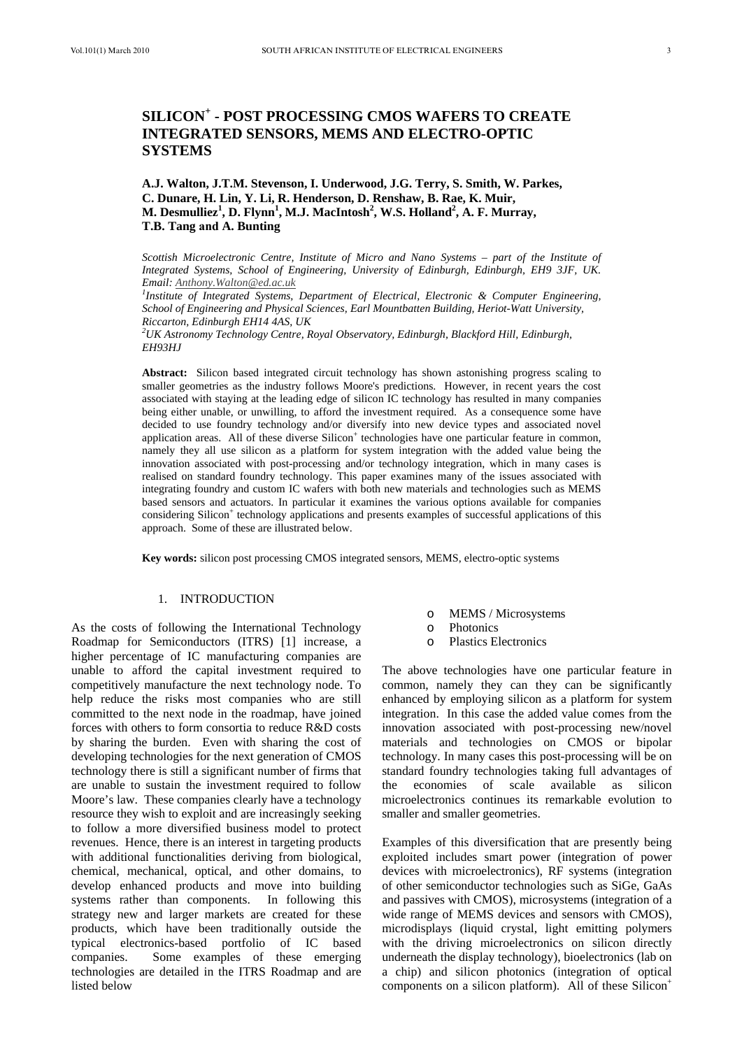# **A.J. Walton, J.T.M. Stevenson, I. Underwood, J.G. Terry, S. Smith, W. Parkes, C. Dunare, H. Lin, Y. Li, R. Henderson, D. Renshaw, B. Rae, K. Muir, M. Desmulliez<sup>1</sup> , D. Flynn1 , M.J. MacIntosh<sup>2</sup> , W.S. Holland2 , A. F. Murray, T.B. Tang and A. Bunting**

*Scottish Microelectronic Centre, Institute of Micro and Nano Systems – part of the Institute of Integrated Systems, School of Engineering, University of Edinburgh, Edinburgh, EH9 3JF, UK. Email: Anthony.Walton@ed.ac.uk 1*

*Institute of Integrated Systems, Department of Electrical, Electronic & Computer Engineering, School of Engineering and Physical Sciences, Earl Mountbatten Building, Heriot-Watt University, Riccarton, Edinburgh EH14 4AS, UK* 

*2 UK Astronomy Technology Centre, Royal Observatory, Edinburgh, Blackford Hill, Edinburgh, EH93HJ* 

**Abstract:** Silicon based integrated circuit technology has shown astonishing progress scaling to smaller geometries as the industry follows Moore's predictions. However, in recent years the cost associated with staying at the leading edge of silicon IC technology has resulted in many companies being either unable, or unwilling, to afford the investment required. As a consequence some have decided to use foundry technology and/or diversify into new device types and associated novel application areas. All of these diverse Silicon<sup>+</sup> technologies have one particular feature in common, namely they all use silicon as a platform for system integration with the added value being the innovation associated with post-processing and/or technology integration, which in many cases is realised on standard foundry technology. This paper examines many of the issues associated with integrating foundry and custom IC wafers with both new materials and technologies such as MEMS based sensors and actuators. In particular it examines the various options available for companies considering Silicon<sup>+</sup> technology applications and presents examples of successful applications of this approach. Some of these are illustrated below.

**Key words:** silicon post processing CMOS integrated sensors, MEMS, electro-optic systems

# 1. INTRODUCTION

As the costs of following the International Technology Roadmap for Semiconductors (ITRS) [1] increase, a higher percentage of IC manufacturing companies are unable to afford the capital investment required to competitively manufacture the next technology node. To help reduce the risks most companies who are still committed to the next node in the roadmap, have joined forces with others to form consortia to reduce R&D costs by sharing the burden. Even with sharing the cost of developing technologies for the next generation of CMOS technology there is still a significant number of firms that are unable to sustain the investment required to follow Moore's law. These companies clearly have a technology resource they wish to exploit and are increasingly seeking to follow a more diversified business model to protect revenues. Hence, there is an interest in targeting products with additional functionalities deriving from biological, chemical, mechanical, optical, and other domains, to develop enhanced products and move into building systems rather than components. In following this strategy new and larger markets are created for these products, which have been traditionally outside the typical electronics-based portfolio of IC based companies. Some examples of these emerging technologies are detailed in the ITRS Roadmap and are listed below

- o MEMS / Microsystems
- Photonics
- o Plastics Electronics

The above technologies have one particular feature in common, namely they can they can be significantly enhanced by employing silicon as a platform for system integration. In this case the added value comes from the innovation associated with post-processing new/novel materials and technologies on CMOS or bipolar technology. In many cases this post-processing will be on standard foundry technologies taking full advantages of the economies of scale available as silicon microelectronics continues its remarkable evolution to smaller and smaller geometries.

Examples of this diversification that are presently being exploited includes smart power (integration of power devices with microelectronics), RF systems (integration of other semiconductor technologies such as SiGe, GaAs and passives with CMOS), microsystems (integration of a wide range of MEMS devices and sensors with CMOS), microdisplays (liquid crystal, light emitting polymers with the driving microelectronics on silicon directly underneath the display technology), bioelectronics (lab on a chip) and silicon photonics (integration of optical components on a silicon platform). All of these Silicon<sup>+</sup>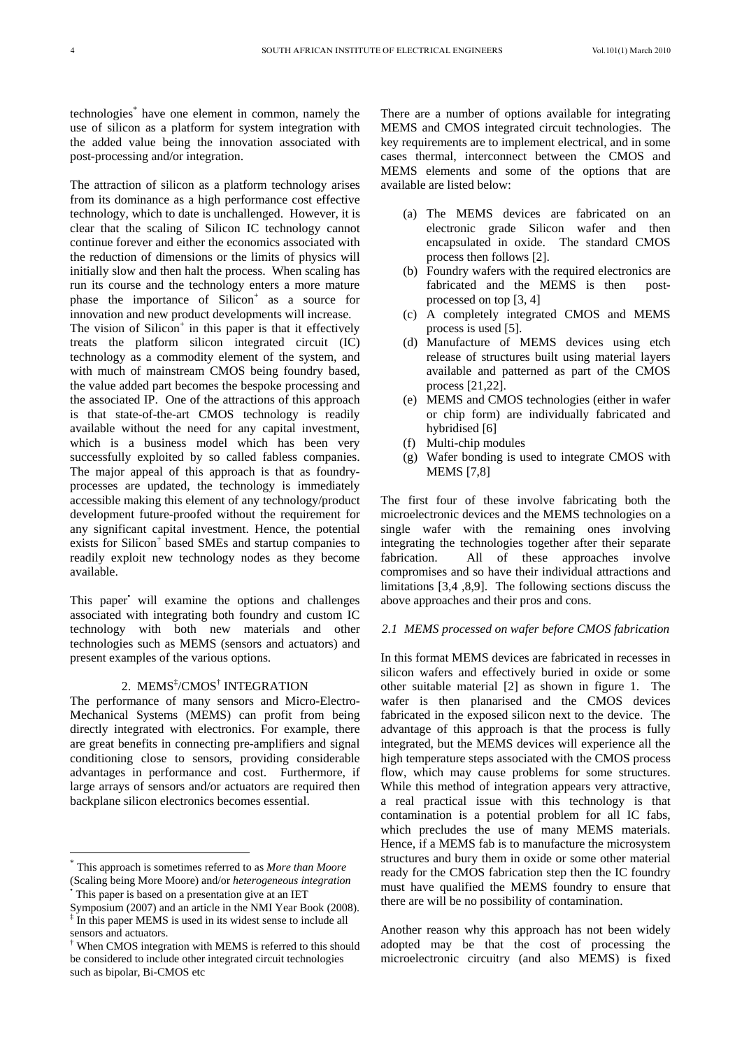technologies\* have one element in common, namely the use of silicon as a platform for system integration with the added value being the innovation associated with post-processing and/or integration.

The attraction of silicon as a platform technology arises from its dominance as a high performance cost effective technology, which to date is unchallenged. However, it is clear that the scaling of Silicon IC technology cannot continue forever and either the economics associated with the reduction of dimensions or the limits of physics will initially slow and then halt the process. When scaling has run its course and the technology enters a more mature phase the importance of  $Silicon<sup>+</sup>$  as a source for innovation and new product developments will increase. The vision of Silicon<sup>+</sup> in this paper is that it effectively treats the platform silicon integrated circuit (IC) technology as a commodity element of the system, and with much of mainstream CMOS being foundry based, the value added part becomes the bespoke processing and the associated IP. One of the attractions of this approach is that state-of-the-art CMOS technology is readily available without the need for any capital investment, which is a business model which has been very successfully exploited by so called fabless companies. The major appeal of this approach is that as foundryprocesses are updated, the technology is immediately accessible making this element of any technology/product development future-proofed without the requirement for any significant capital investment. Hence, the potential exists for Silicon<sup>+</sup> based SMEs and startup companies to readily exploit new technology nodes as they become available.

This paper vill examine the options and challenges associated with integrating both foundry and custom IC technology with both new materials and other technologies such as MEMS (sensors and actuators) and present examples of the various options.

# 2. MEMS‡ /CMOS† INTEGRATION

The performance of many sensors and Micro-Electro-Mechanical Systems (MEMS) can profit from being directly integrated with electronics. For example, there are great benefits in connecting pre-amplifiers and signal conditioning close to sensors, providing considerable advantages in performance and cost. Furthermore, if large arrays of sensors and/or actuators are required then backplane silicon electronics becomes essential.

<u>.</u>

There are a number of options available for integrating MEMS and CMOS integrated circuit technologies. The key requirements are to implement electrical, and in some cases thermal, interconnect between the CMOS and MEMS elements and some of the options that are available are listed below:

- (a) The MEMS devices are fabricated on an electronic grade Silicon wafer and then encapsulated in oxide. The standard CMOS process then follows [2].
- (b) Foundry wafers with the required electronics are fabricated and the MEMS is then postprocessed on top [3, 4]
- (c) A completely integrated CMOS and MEMS process is used [5].
- (d) Manufacture of MEMS devices using etch release of structures built using material layers available and patterned as part of the CMOS process [21,22].
- (e) MEMS and CMOS technologies (either in wafer or chip form) are individually fabricated and hybridised [6]
- (f) Multi-chip modules
- (g) Wafer bonding is used to integrate CMOS with **MEMS** [7,8]

The first four of these involve fabricating both the microelectronic devices and the MEMS technologies on a single wafer with the remaining ones involving integrating the technologies together after their separate fabrication. All of these approaches involve compromises and so have their individual attractions and limitations [3,4 ,8,9]. The following sections discuss the above approaches and their pros and cons.

#### *2.1 MEMS processed on wafer before CMOS fabrication*

In this format MEMS devices are fabricated in recesses in silicon wafers and effectively buried in oxide or some other suitable material [2] as shown in figure 1. The wafer is then planarised and the CMOS devices fabricated in the exposed silicon next to the device. The advantage of this approach is that the process is fully integrated, but the MEMS devices will experience all the high temperature steps associated with the CMOS process flow, which may cause problems for some structures. While this method of integration appears very attractive, a real practical issue with this technology is that contamination is a potential problem for all IC fabs, which precludes the use of many MEMS materials. Hence, if a MEMS fab is to manufacture the microsystem structures and bury them in oxide or some other material ready for the CMOS fabrication step then the IC foundry must have qualified the MEMS foundry to ensure that there are will be no possibility of contamination.

Another reason why this approach has not been widely adopted may be that the cost of processing the microelectronic circuitry (and also MEMS) is fixed

<sup>\*</sup> This approach is sometimes referred to as *More than Moore* (Scaling being More Moore) and/or *heterogeneous integration* • This paper is based on a presentation give at an IET

Symposium (2007) and an article in the NMI Year Book (2008).

<sup>&</sup>lt;sup>‡</sup> In this paper MEMS is used in its widest sense to include all sensors and actuators.

<sup>†</sup> When CMOS integration with MEMS is referred to this should be considered to include other integrated circuit technologies such as bipolar, Bi-CMOS etc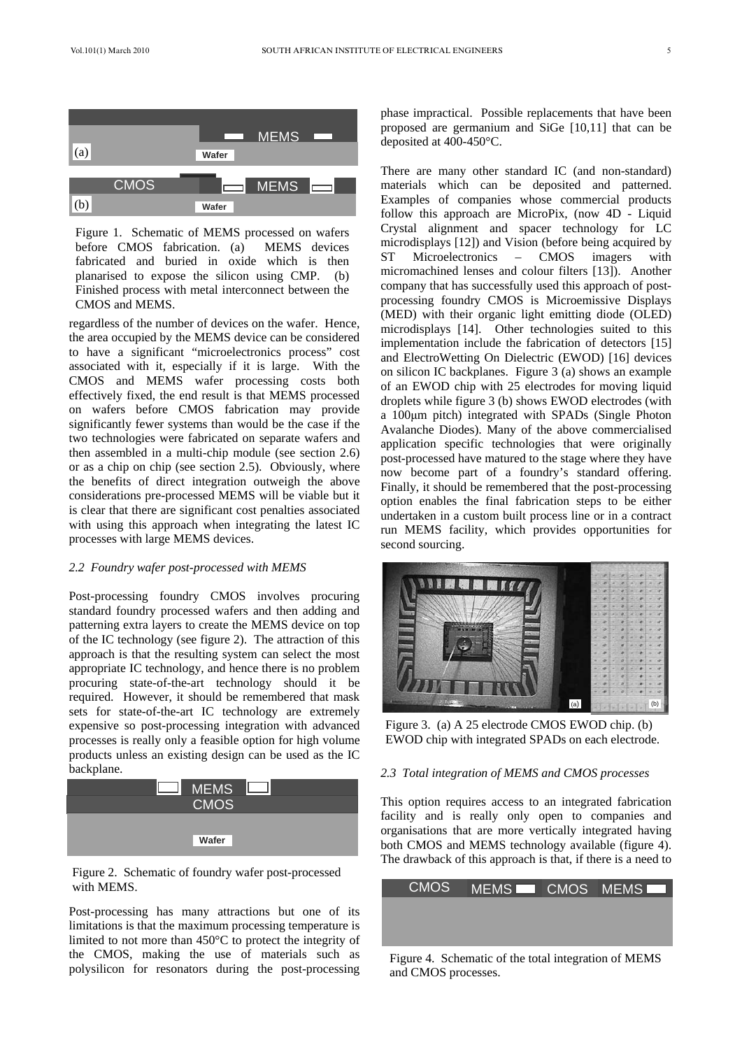

Figure 1. Schematic of MEMS processed on wafers before CMOS fabrication. (a) MEMS devices fabricated and buried in oxide which is then planarised to expose the silicon using CMP. (b) Finished process with metal interconnect between the CMOS and MEMS.

regardless of the number of devices on the wafer. Hence, the area occupied by the MEMS device can be considered to have a significant "microelectronics process" cost associated with it, especially if it is large. With the CMOS and MEMS wafer processing costs both effectively fixed, the end result is that MEMS processed on wafers before CMOS fabrication may provide significantly fewer systems than would be the case if the two technologies were fabricated on separate wafers and then assembled in a multi-chip module (see section 2.6) or as a chip on chip (see section 2.5). Obviously, where the benefits of direct integration outweigh the above considerations pre-processed MEMS will be viable but it is clear that there are significant cost penalties associated with using this approach when integrating the latest IC processes with large MEMS devices.

### *2.2 Foundry wafer post-processed with MEMS*

Post-processing foundry CMOS involves procuring standard foundry processed wafers and then adding and patterning extra layers to create the MEMS device on top of the IC technology (see figure 2). The attraction of this approach is that the resulting system can select the most appropriate IC technology, and hence there is no problem procuring state-of-the-art technology should it be required. However, it should be remembered that mask sets for state-of-the-art IC technology are extremely expensive so post-processing integration with advanced processes is really only a feasible option for high volume products unless an existing design can be used as the IC backplane.



Figure 2. Schematic of foundry wafer post-processed

Post-processing has many attractions but one of its limitations is that the maximum processing temperature is limited to not more than 450°C to protect the integrity of the CMOS, making the use of materials such as polysilicon for resonators during the post-processing phase impractical. Possible replacements that have been proposed are germanium and SiGe [10,11] that can be deposited at 400-450°C.

There are many other standard IC (and non-standard) materials which can be deposited and patterned. Examples of companies whose commercial products follow this approach are MicroPix, (now 4D - Liquid Crystal alignment and spacer technology for LC microdisplays [12]) and Vision (before being acquired by ST Microelectronics – CMOS imagers with micromachined lenses and colour filters [13]). Another company that has successfully used this approach of postprocessing foundry CMOS is Microemissive Displays (MED) with their organic light emitting diode (OLED) microdisplays [14]. Other technologies suited to this implementation include the fabrication of detectors [15] and ElectroWetting On Dielectric (EWOD) [16] devices on silicon IC backplanes. Figure 3 (a) shows an example of an EWOD chip with 25 electrodes for moving liquid droplets while figure 3 (b) shows EWOD electrodes (with a 100 $\mu$ m pitch) integrated with SPADs (Single Photon Avalanche Diodes). Many of the above commercialised application specific technologies that were originally post-processed have matured to the stage where they have now become part of a foundry's standard offering. Finally, it should be remembered that the post-processing option enables the final fabrication steps to be either undertaken in a custom built process line or in a contract run MEMS facility, which provides opportunities for second sourcing.



Figure 3. (a) A 25 electrode CMOS EWOD chip. (b) EWOD chip with integrated SPADs on each electrode.

### *2.3 Total integration of MEMS and CMOS processes*

This option requires access to an integrated fabrication facility and is really only open to companies and organisations that are more vertically integrated having both CMOS and MEMS technology available (figure 4). The drawback of this approach is that, if there is a need to

| $\Gamma$ igure 2. Denematre of found $\gamma$ ware post processed                                                                                                                      |             |                                                      |                |
|----------------------------------------------------------------------------------------------------------------------------------------------------------------------------------------|-------------|------------------------------------------------------|----------------|
| with MEMS.                                                                                                                                                                             | <b>CMOS</b> |                                                      | MEMS CMOS MEMS |
| Post-processing has many attractions but one of its<br>imitations is that the maximum processing temperature is<br>imited to not more than $450^{\circ}$ C to protect the integrity of |             |                                                      |                |
| he CMOS, making the use of materials such as                                                                                                                                           |             | Figure 4. Schematic of the total integration of MEMS |                |

and CMOS processes.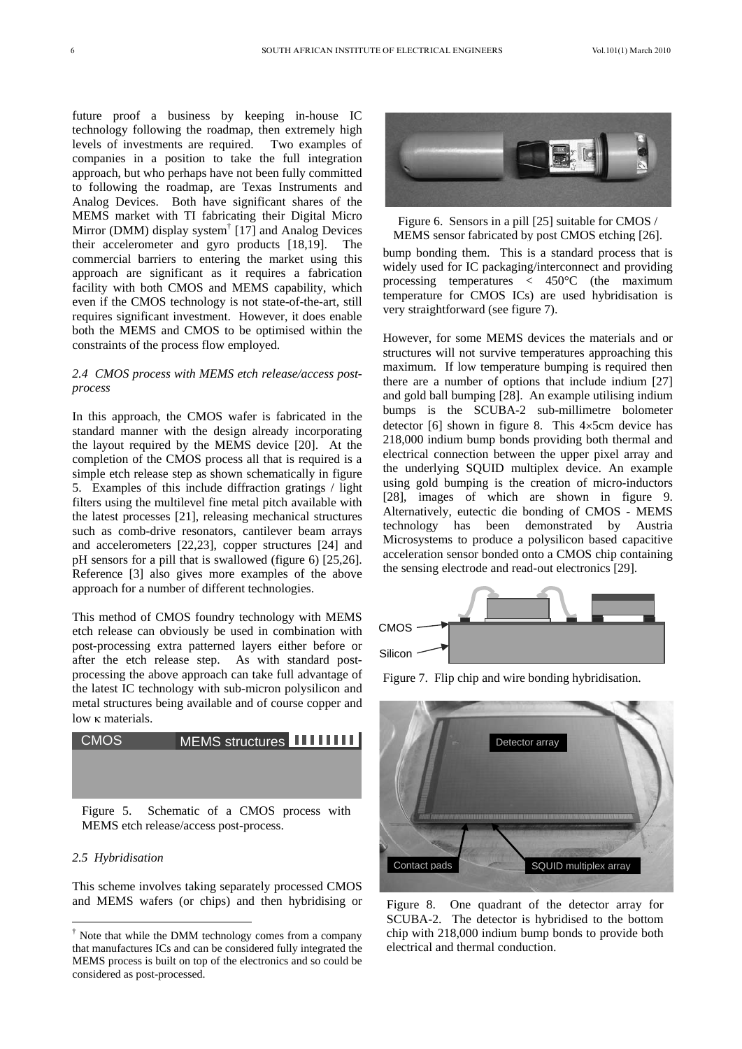future proof a business by keeping in-house IC technology following the roadmap, then extremely high levels of investments are required. Two examples of companies in a position to take the full integration approach, but who perhaps have not been fully committed to following the roadmap, are Texas Instruments and Analog Devices. Both have significant shares of the MEMS market with TI fabricating their Digital Micro Mirror (DMM) display system<sup>†</sup> [17] and Analog Devices their accelerometer and gyro products [18,19]. The commercial barriers to entering the market using this approach are significant as it requires a fabrication facility with both CMOS and MEMS capability, which even if the CMOS technology is not state-of-the-art, still requires significant investment. However, it does enable both the MEMS and CMOS to be optimised within the constraints of the process flow employed.

### *2.4 CMOS process with MEMS etch release/access postprocess*

In this approach, the CMOS wafer is fabricated in the standard manner with the design already incorporating the layout required by the MEMS device [20]. At the completion of the CMOS process all that is required is a simple etch release step as shown schematically in figure 5. Examples of this include diffraction gratings / light filters using the multilevel fine metal pitch available with the latest processes [21], releasing mechanical structures such as comb-drive resonators, cantilever beam arrays and accelerometers [22,23], copper structures [24] and pH sensors for a pill that is swallowed (figure 6) [25,26]. Reference [3] also gives more examples of the above approach for a number of different technologies.

This method of CMOS foundry technology with MEMS etch release can obviously be used in combination with post-processing extra patterned layers either before or after the etch release step. As with standard postprocessing the above approach can take full advantage of the latest IC technology with sub-micron polysilicon and metal structures being available and of course copper and  $low \kappa$  materials.



Figure 5. Schematic of a CMOS process with MEMS etch release/access post-process.

#### *2.5 Hybridisation*

 $\overline{a}$ 

This scheme involves taking separately processed CMOS and MEMS wafers (or chips) and then hybridising or



Figure 6. Sensors in a pill [25] suitable for CMOS / MEMS sensor fabricated by post CMOS etching [26].

bump bonding them. This is a standard process that is widely used for IC packaging/interconnect and providing processing temperatures < 450°C (the maximum temperature for CMOS ICs) are used hybridisation is very straightforward (see figure 7).

However, for some MEMS devices the materials and or structures will not survive temperatures approaching this maximum. If low temperature bumping is required then there are a number of options that include indium [27] and gold ball bumping [28]. An example utilising indium bumps is the SCUBA-2 sub-millimetre bolometer detector  $[6]$  shown in figure 8. This  $4 \times 5$ cm device has 218,000 indium bump bonds providing both thermal and electrical connection between the upper pixel array and the underlying SQUID multiplex device. An example using gold bumping is the creation of micro-inductors [28], images of which are shown in figure 9. Alternatively, eutectic die bonding of CMOS - MEMS technology has been demonstrated by Austria Microsystems to produce a polysilicon based capacitive acceleration sensor bonded onto a CMOS chip containing the sensing electrode and read-out electronics [29].



Figure 7. Flip chip and wire bonding hybridisation.



Figure 8. One quadrant of the detector array for SCUBA-2. The detector is hybridised to the bottom chip with 218,000 indium bump bonds to provide both electrical and thermal conduction.

<sup>†</sup> Note that while the DMM technology comes from a company that manufactures ICs and can be considered fully integrated the MEMS process is built on top of the electronics and so could be considered as post-processed.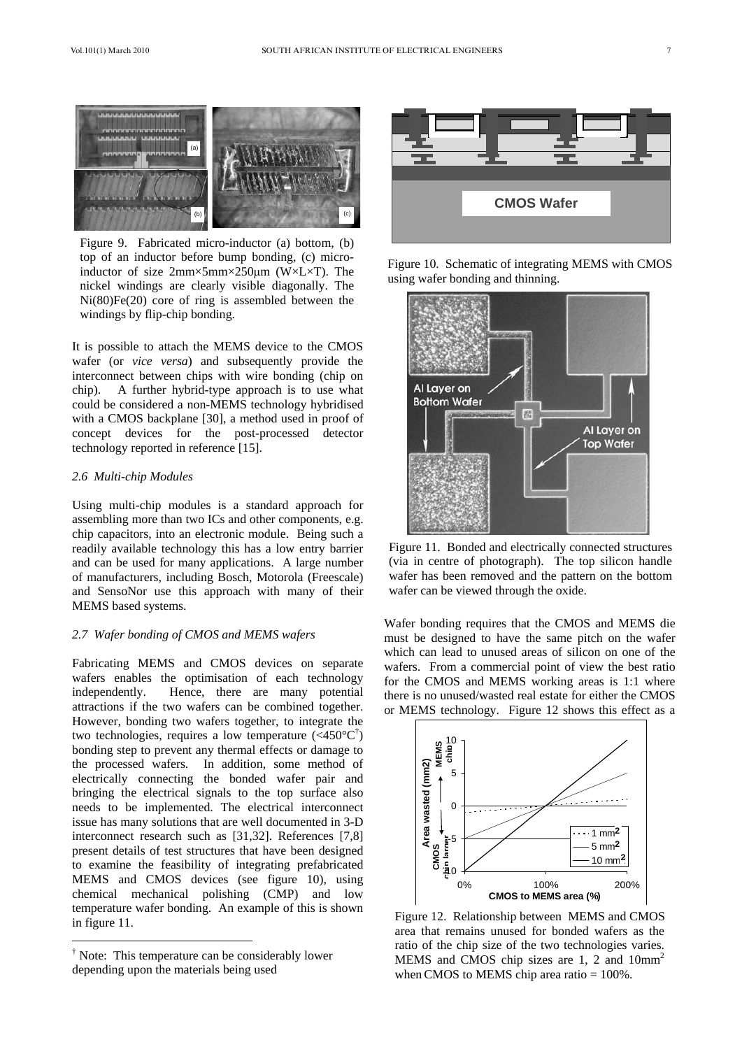

Figure 9. Fabricated micro-inductor (a) bottom, (b) top of an inductor before bump bonding, (c) microinductor of size  $2mm \times 5mm \times 250 \mu m$  (W $\times$ L $\times$ T). The nickel windings are clearly visible diagonally. The Ni(80)Fe(20) core of ring is assembled between the windings by flip-chip bonding.

It is possible to attach the MEMS device to the CMOS wafer (or *vice versa*) and subsequently provide the interconnect between chips with wire bonding (chip on chip). A further hybrid-type approach is to use what could be considered a non-MEMS technology hybridised with a CMOS backplane [30], a method used in proof of concept devices for the post-processed detector technology reported in reference [15].

# *2.6 Multi-chip Modules*

Using multi-chip modules is a standard approach for assembling more than two ICs and other components, e.g. chip capacitors, into an electronic module. Being such a readily available technology this has a low entry barrier and can be used for many applications. A large number of manufacturers, including Bosch, Motorola (Freescale) and SensoNor use this approach with many of their MEMS based systems.

#### *2.7 Wafer bonding of CMOS and MEMS wafers*

Fabricating MEMS and CMOS devices on separate wafers enables the optimisation of each technology independently. Hence, there are many potential attractions if the two wafers can be combined together. However, bonding two wafers together, to integrate the two technologies, requires a low temperature  $(<450^{\circ}C^{\dagger})$ bonding step to prevent any thermal effects or damage to the processed wafers. In addition, some method of electrically connecting the bonded wafer pair and bringing the electrical signals to the top surface also needs to be implemented. The electrical interconnect issue has many solutions that are well documented in 3-D interconnect research such as [31,32]. References [7,8] present details of test structures that have been designed to examine the feasibility of integrating prefabricated MEMS and CMOS devices (see figure 10), using chemical mechanical polishing (CMP) and low temperature wafer bonding. An example of this is shown in figure 11.







Figure 11. Bonded and electrically connected structures (via in centre of photograph). The top silicon handle wafer has been removed and the pattern on the bottom wafer can be viewed through the oxide.

Wafer bonding requires that the CMOS and MEMS die must be designed to have the same pitch on the wafer which can lead to unused areas of silicon on one of the wafers. From a commercial point of view the best ratio for the CMOS and MEMS working areas is 1:1 where there is no unused/wasted real estate for either the CMOS or MEMS technology. Figure 12 shows this effect as a



Figure 12. Relationship between MEMS and CMOS area that remains unused for bonded wafers as the ratio of the chip size of the two technologies varies. MEMS and CMOS chip sizes are 1, 2 and  $10mm<sup>2</sup>$ when CMOS to MEMS chip area ratio =  $100\%$ .

<sup>†</sup> Note: This temperature can be considerably lower depending upon the materials being used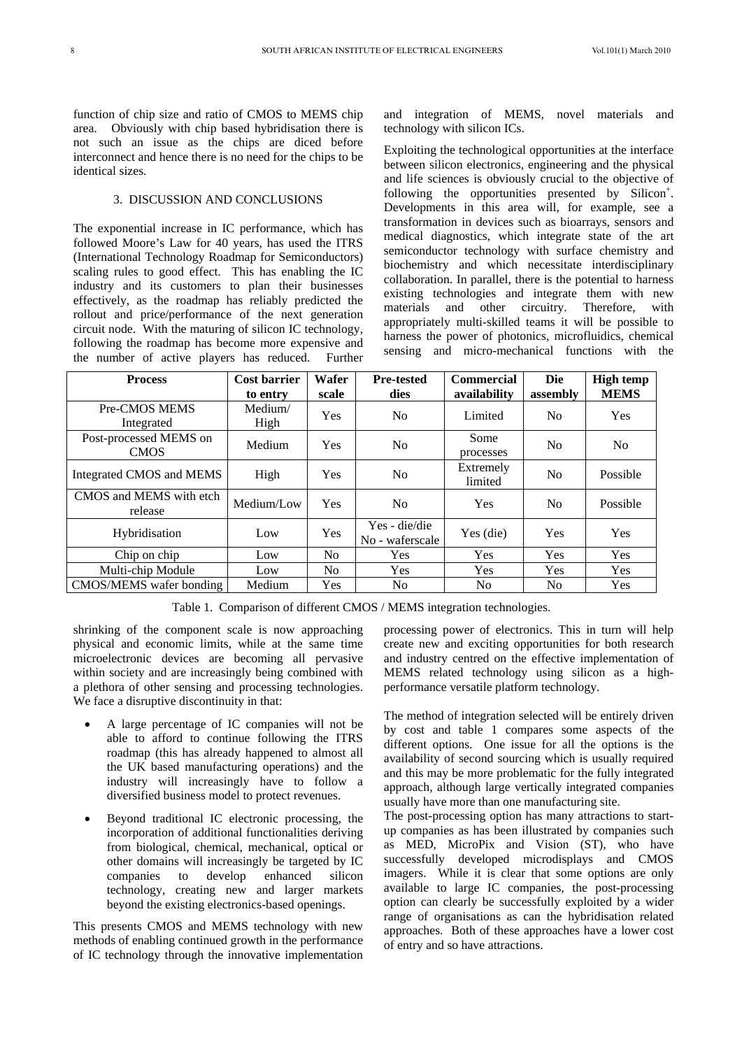function of chip size and ratio of CMOS to MEMS chip area. Obviously with chip based hybridisation there is not such an issue as the chips are diced before interconnect and hence there is no need for the chips to be identical sizes.

# 3. DISCUSSION AND CONCLUSIONS

The exponential increase in IC performance, which has followed Moore's Law for 40 years, has used the ITRS (International Technology Roadmap for Semiconductors) scaling rules to good effect. This has enabling the IC industry and its customers to plan their businesses effectively, as the roadmap has reliably predicted the rollout and price/performance of the next generation circuit node. With the maturing of silicon IC technology, following the roadmap has become more expensive and the number of active players has reduced. Further and integration of MEMS, novel materials and technology with silicon ICs.

Exploiting the technological opportunities at the interface between silicon electronics, engineering and the physical and life sciences is obviously crucial to the objective of following the opportunities presented by Silicon<sup>+</sup>. Developments in this area will, for example, see a transformation in devices such as bioarrays, sensors and medical diagnostics, which integrate state of the art semiconductor technology with surface chemistry and biochemistry and which necessitate interdisciplinary collaboration. In parallel, there is the potential to harness existing technologies and integrate them with new materials and other circuitry. Therefore, with appropriately multi-skilled teams it will be possible to harness the power of photonics, microfluidics, chemical sensing and micro-mechanical functions with the

| <b>Process</b>                        | <b>Cost barrier</b><br>to entry | Wafer<br>scale | <b>Pre-tested</b><br>dies        | <b>Commercial</b><br>availability | <b>Die</b><br>assembly | <b>High temp</b><br><b>MEMS</b> |
|---------------------------------------|---------------------------------|----------------|----------------------------------|-----------------------------------|------------------------|---------------------------------|
| Pre-CMOS MEMS<br>Integrated           | Medium/<br>High                 | <b>Yes</b>     | N <sub>0</sub>                   | Limited                           | N <sub>0</sub>         | <b>Yes</b>                      |
| Post-processed MEMS on<br><b>CMOS</b> | Medium                          | <b>Yes</b>     | N <sub>0</sub>                   | Some<br>processes                 | N <sub>0</sub>         | N <sub>0</sub>                  |
| Integrated CMOS and MEMS              | High                            | <b>Yes</b>     | N <sub>0</sub>                   | Extremely<br>limited              | N <sub>0</sub>         | Possible                        |
| CMOS and MEMS with etch<br>release    | Medium/Low                      | <b>Yes</b>     | N <sub>0</sub>                   | Yes                               | N <sub>0</sub>         | Possible                        |
| Hybridisation                         | Low                             | Yes            | Yes - die/die<br>No - waferscale | Yes (die)                         | Yes                    | <b>Yes</b>                      |
| Chip on chip                          | Low                             | N <sub>o</sub> | <b>Yes</b>                       | Yes                               | Yes                    | Yes                             |
| Multi-chip Module                     | Low                             | N <sub>0</sub> | <b>Yes</b>                       | <b>Yes</b>                        | <b>Yes</b>             | <b>Yes</b>                      |
| CMOS/MEMS wafer bonding               | Medium                          | Yes            | N <sub>0</sub>                   | N <sub>0</sub>                    | N <sub>0</sub>         | <b>Yes</b>                      |

Table 1. Comparison of different CMOS / MEMS integration technologies.

shrinking of the component scale is now approaching physical and economic limits, while at the same time microelectronic devices are becoming all pervasive within society and are increasingly being combined with a plethora of other sensing and processing technologies. We face a disruptive discontinuity in that:

- x A large percentage of IC companies will not be able to afford to continue following the ITRS roadmap (this has already happened to almost all the UK based manufacturing operations) and the industry will increasingly have to follow a diversified business model to protect revenues.
- Beyond traditional IC electronic processing, the incorporation of additional functionalities deriving from biological, chemical, mechanical, optical or other domains will increasingly be targeted by IC companies to develop enhanced silicon technology, creating new and larger markets beyond the existing electronics-based openings.

This presents CMOS and MEMS technology with new methods of enabling continued growth in the performance of IC technology through the innovative implementation processing power of electronics. This in turn will help create new and exciting opportunities for both research and industry centred on the effective implementation of MEMS related technology using silicon as a highperformance versatile platform technology.

The method of integration selected will be entirely driven by cost and table 1 compares some aspects of the different options. One issue for all the options is the availability of second sourcing which is usually required and this may be more problematic for the fully integrated approach, although large vertically integrated companies usually have more than one manufacturing site.

The post-processing option has many attractions to startup companies as has been illustrated by companies such as MED, MicroPix and Vision (ST), who have successfully developed microdisplays and CMOS imagers. While it is clear that some options are only available to large IC companies, the post-processing option can clearly be successfully exploited by a wider range of organisations as can the hybridisation related approaches. Both of these approaches have a lower cost of entry and so have attractions.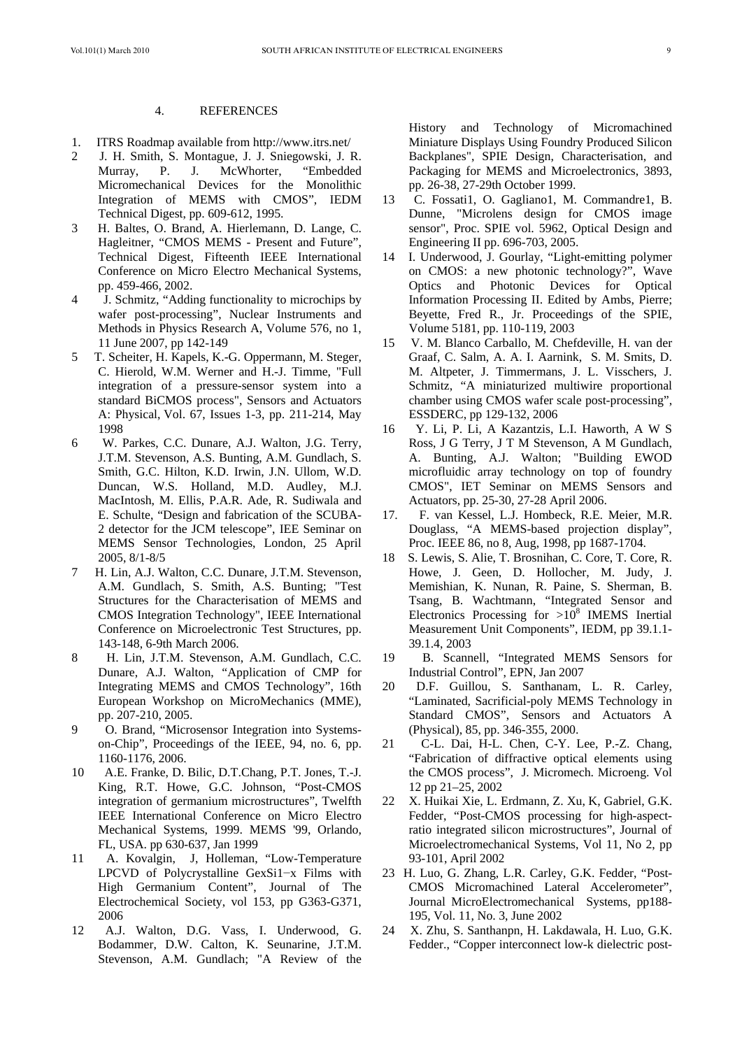#### 4. REFERENCES

- 1. ITRS Roadmap available from http://www.itrs.net/
- 2 J. H. Smith, S. Montague, J. J. Sniegowski, J. R. Murray, P. J. McWhorter, "Embedded Micromechanical Devices for the Monolithic Integration of MEMS with CMOS", IEDM Technical Digest, pp. 609-612, 1995.
- 3 H. Baltes, O. Brand, A. Hierlemann, D. Lange, C. Hagleitner, "CMOS MEMS - Present and Future", Technical Digest, Fifteenth IEEE International Conference on Micro Electro Mechanical Systems, pp. 459-466, 2002.
- 4 J. Schmitz, "Adding functionality to microchips by wafer post-processing", Nuclear Instruments and Methods in Physics Research A, Volume 576, no 1, 11 June 2007, pp 142-149
- 5 T. Scheiter, H. Kapels, K.-G. Oppermann, M. Steger, C. Hierold, W.M. Werner and H.-J. Timme, "Full integration of a pressure-sensor system into a standard BiCMOS process", Sensors and Actuators A: Physical, Vol. 67, Issues 1-3, pp. 211-214, May 1998
- 6 W. Parkes, C.C. Dunare, A.J. Walton, J.G. Terry, J.T.M. Stevenson, A.S. Bunting, A.M. Gundlach, S. Smith, G.C. Hilton, K.D. Irwin, J.N. Ullom, W.D. Duncan, W.S. Holland, M.D. Audley, M.J. MacIntosh, M. Ellis, P.A.R. Ade, R. Sudiwala and E. Schulte, "Design and fabrication of the SCUBA-2 detector for the JCM telescope", IEE Seminar on MEMS Sensor Technologies, London, 25 April 2005, 8/1-8/5
- 7 H. Lin, A.J. Walton, C.C. Dunare, J.T.M. Stevenson, A.M. Gundlach, S. Smith, A.S. Bunting; "Test Structures for the Characterisation of MEMS and CMOS Integration Technology", IEEE International Conference on Microelectronic Test Structures, pp. 143-148, 6-9th March 2006.
- 8 H. Lin, J.T.M. Stevenson, A.M. Gundlach, C.C. Dunare, A.J. Walton, "Application of CMP for Integrating MEMS and CMOS Technology", 16th European Workshop on MicroMechanics (MME), pp. 207-210, 2005.
- 9 O. Brand, "Microsensor Integration into Systemson-Chip", Proceedings of the IEEE, 94, no. 6, pp. 1160-1176, 2006.
- 10 A.E. Franke, D. Bilic, D.T.Chang, P.T. Jones, T.-J. King, R.T. Howe, G.C. Johnson, "Post-CMOS integration of germanium microstructures", Twelfth IEEE International Conference on Micro Electro Mechanical Systems, 1999. MEMS '99, Orlando, FL, USA. pp 630-637, Jan 1999
- 11 A. Kovalgin, J, Holleman, "Low-Temperature LPCVD of Polycrystalline GexSi1 $-x$  Films with High Germanium Content", Journal of The Electrochemical Society, vol 153, pp G363-G371, 2006
- 12 A.J. Walton, D.G. Vass, I. Underwood, G. Bodammer, D.W. Calton, K. Seunarine, J.T.M. Stevenson, A.M. Gundlach; "A Review of the

 History and Technology of Micromachined Miniature Displays Using Foundry Produced Silicon Backplanes", SPIE Design, Characterisation, and Packaging for MEMS and Microelectronics, 3893, pp. 26-38, 27-29th October 1999.

- 13 C. Fossati1, O. Gagliano1, M. Commandre1, B. Dunne, "Microlens design for CMOS image sensor", Proc. SPIE vol. 5962, Optical Design and Engineering II pp. 696-703, 2005.
- 14 I. Underwood, J. Gourlay, "Light-emitting polymer on CMOS: a new photonic technology?", Wave Optics and Photonic Devices for Optical Information Processing II. Edited by Ambs, Pierre; Beyette, Fred R., Jr. Proceedings of the SPIE, Volume 5181, pp. 110-119, 2003
- 15 V. M. Blanco Carballo, M. Chefdeville, H. van der Graaf, C. Salm, A. A. I. Aarnink, S. M. Smits, D. M. Altpeter, J. Timmermans, J. L. Visschers, J. Schmitz, "A miniaturized multiwire proportional chamber using CMOS wafer scale post-processing", ESSDERC, pp 129-132, 2006
- 16 Y. Li, P. Li, A Kazantzis, L.I. Haworth, A W S Ross, J G Terry, J T M Stevenson, A M Gundlach, A. Bunting, A.J. Walton; "Building EWOD microfluidic array technology on top of foundry CMOS", IET Seminar on MEMS Sensors and Actuators, pp. 25-30, 27-28 April 2006.
- 17. F. van Kessel, L.J. Hombeck, R.E. Meier, M.R. Douglass, "A MEMS-based projection display", Proc. IEEE 86, no 8, Aug, 1998, pp 1687-1704.
- 18 S. Lewis, S. Alie, T. Brosnihan, C. Core, T. Core, R. Howe, J. Geen, D. Hollocher, M. Judy, J. Memishian, K. Nunan, R. Paine, S. Sherman, B. Tsang, B. Wachtmann, "Integrated Sensor and Electronics Processing for  $>10^8$  IMEMS Inertial Measurement Unit Components", IEDM, pp 39.1.1- 39.1.4, 2003
- 19 B. Scannell, "Integrated MEMS Sensors for Industrial Control", EPN, Jan 2007
- 20 D.F. Guillou, S. Santhanam, L. R. Carley, "Laminated, Sacrificial-poly MEMS Technology in Standard CMOS", Sensors and Actuators A (Physical), 85, pp. 346-355, 2000.
- 21 C-L. Dai, H-L. Chen, C-Y. Lee, P.-Z. Chang, "Fabrication of diffractive optical elements using the CMOS process", J. Micromech. Microeng. Vol 12 pp 21–25, 2002
- 22 X. Huikai Xie, L. Erdmann, Z. Xu, K, Gabriel, G.K. Fedder, "Post-CMOS processing for high-aspectratio integrated silicon microstructures", Journal of Microelectromechanical Systems, Vol 11, No 2, pp 93-101, April 2002
- 23 H. Luo, G. Zhang, L.R. Carley, G.K. Fedder, "Post-CMOS Micromachined Lateral Accelerometer", Journal MicroElectromechanical Systems, pp188- 195, Vol. 11, No. 3, June 2002
- 24 X. Zhu, S. Santhanpn, H. Lakdawala, H. Luo, G.K. Fedder., "Copper interconnect low-k dielectric post-